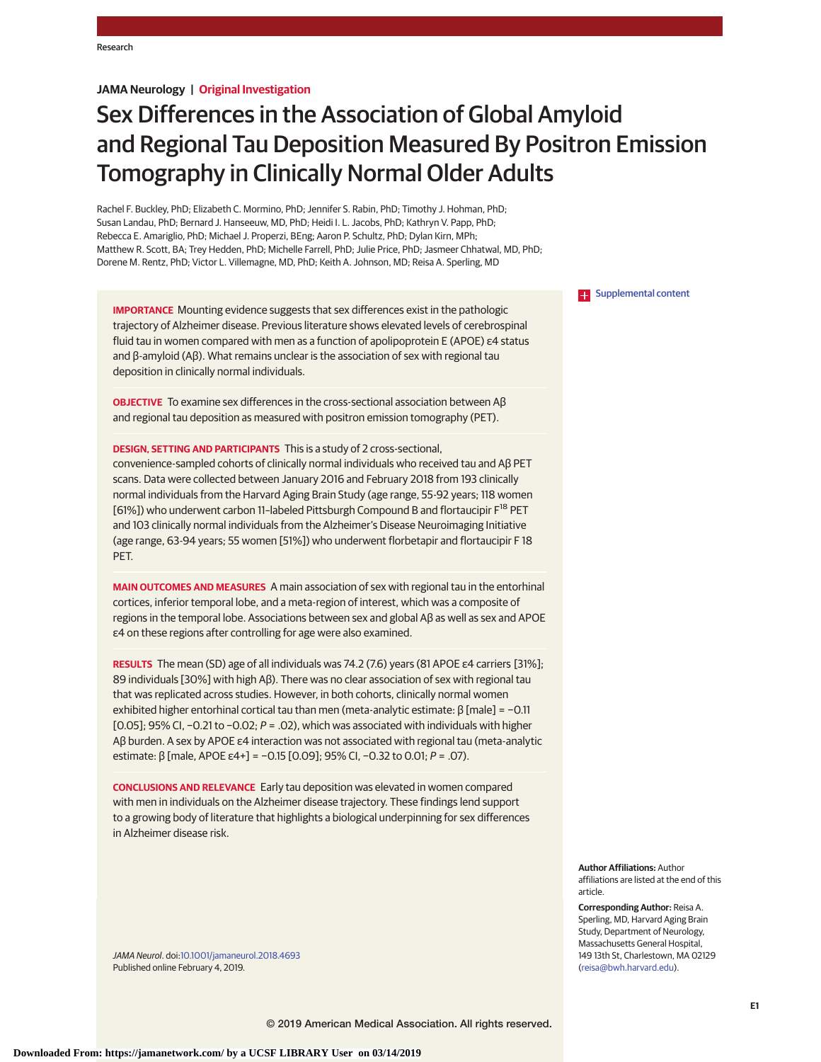# **JAMA Neurology | Original Investigation**

# Sex Differences in the Association of Global Amyloid and Regional Tau Deposition Measured By Positron Emission Tomography in Clinically Normal Older Adults

Rachel F. Buckley, PhD; Elizabeth C. Mormino, PhD; Jennifer S. Rabin, PhD; Timothy J. Hohman, PhD; Susan Landau, PhD; Bernard J. Hanseeuw, MD, PhD; Heidi I. L. Jacobs, PhD; Kathryn V. Papp, PhD; Rebecca E. Amariglio, PhD; Michael J. Properzi, BEng; Aaron P. Schultz, PhD; Dylan Kirn, MPh; Matthew R. Scott, BA; Trey Hedden, PhD; Michelle Farrell, PhD; Julie Price, PhD; Jasmeer Chhatwal, MD, PhD; Dorene M. Rentz, PhD; Victor L. Villemagne, MD, PhD; Keith A. Johnson, MD; Reisa A. Sperling, MD

**IMPORTANCE** Mounting evidence suggests that sex differences exist in the pathologic trajectory of Alzheimer disease. Previous literature shows elevated levels of cerebrospinal fluid tau in women compared with men as a function of apolipoprotein E (APOE) ε4 status and β-amyloid (Aβ). What remains unclear is the association of sex with regional tau deposition in clinically normal individuals.

**OBJECTIVE** To examine sex differences in the cross-sectional association between Aβ and regional tau deposition as measured with positron emission tomography (PET).

**DESIGN, SETTING AND PARTICIPANTS** This is a study of 2 cross-sectional, convenience-sampled cohorts of clinically normal individuals who received tau and Aβ PET scans. Data were collected between January 2016 and February 2018 from 193 clinically normal individuals from the Harvard Aging Brain Study (age range, 55-92 years; 118 women [61%]) who underwent carbon 11-labeled Pittsburgh Compound B and flortaucipir F<sup>18</sup> PET and 103 clinically normal individuals from the Alzheimer's Disease Neuroimaging Initiative (age range, 63-94 years; 55 women [51%]) who underwent florbetapir and flortaucipir F 18 PFT.

**MAIN OUTCOMES AND MEASURES** A main association of sex with regional tau in the entorhinal cortices, inferior temporal lobe, and a meta-region of interest, which was a composite of regions in the temporal lobe. Associations between sex and global Aβ as well as sex and APOE ε4 on these regions after controlling for age were also examined.

**RESULTS** The mean (SD) age of all individuals was 74.2 (7.6) years (81 APOE ε4 carriers [31%]; 89 individuals [30%] with high Aβ). There was no clear association of sex with regional tau that was replicated across studies. However, in both cohorts, clinically normal women exhibited higher entorhinal cortical tau than men (meta-analytic estimate: β [male] = -0.11 [0.05]; 95% CI, -0.21 to -0.02;  $P = .02$ ), which was associated with individuals with higher Aβ burden. A sex by APOE ε4 interaction was not associated with regional tau (meta-analytic estimate: β [male, APOE ε4+] = −0.15 [0.09]; 95% CI, −0.32 to 0.01; P = .07).

**CONCLUSIONS AND RELEVANCE** Early tau deposition was elevated in women compared with men in individuals on the Alzheimer disease trajectory. These findings lend support to a growing body of literature that highlights a biological underpinning for sex differences in Alzheimer disease risk.

JAMA Neurol. doi[:10.1001/jamaneurol.2018.4693](https://jama.jamanetwork.com/article.aspx?doi=10.1001/jamaneurol.2018.4693&utm_campaign=articlePDF%26utm_medium=articlePDFlink%26utm_source=articlePDF%26utm_content=jamaneurol.2018.4693) Published online February 4, 2019.

**Supplemental content** 

**Author Affiliations:** Author affiliations are listed at the end of this article.

**Corresponding Author:** Reisa A. Sperling, MD, Harvard Aging Brain Study, Department of Neurology, Massachusetts General Hospital, 149 13th St, Charlestown, MA 02129 [\(reisa@bwh.harvard.edu\)](mailto:reisa@bwh.harvard.edu).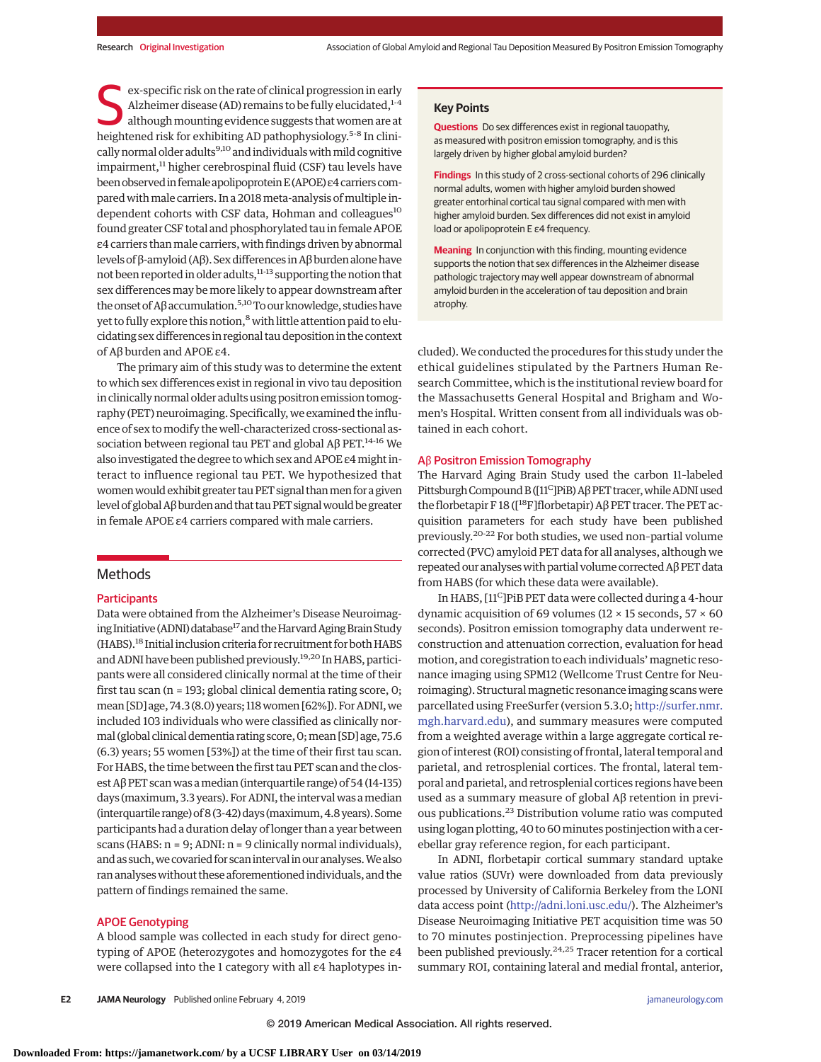ex-specific risk on the rate of clinical progression in early Alzheimer disease (AD) remains to be fully elucidated, $1-4$ although mounting evidence suggests that women are at heightened risk for exhibiting AD pathophysiology.<sup>5-8</sup> In clinically normal older adults $9,10$  and individuals with mild cognitive impairment,<sup>11</sup> higher cerebrospinal fluid (CSF) tau levels have been observed in female apolipoprotein Ε (APOE) ε4 carriers compared with male carriers. In a 2018 meta-analysis of multiple independent cohorts with CSF data, Hohman and colleagues<sup>10</sup> found greater CSF total and phosphorylated tau in female APOE ε4 carriers thanmale carriers, with findings driven by abnormal levels of β-amyloid (Aβ). Sex differences in Aβ burden alone have not been reported in older adults,11-13 supporting the notion that sex differences may be more likely to appear downstream after the onset of A $\beta$  accumulation.<sup>5,10</sup> To our knowledge, studies have yet to fully explore this notion,<sup>8</sup> with little attention paid to elucidating sex differences in regional tau deposition in the context of Aβ burden and APOE ε4.

The primary aim of this study was to determine the extent to which sex differences exist in regional in vivo tau deposition in clinically normal older adults using positron emission tomography (PET) neuroimaging. Specifically, we examined the influence of sex to modify the well-characterized cross-sectional association between regional tau PET and global Aβ PET.<sup>14-16</sup> We also investigated the degree towhich sex and APOE ε4might interact to influence regional tau PET. We hypothesized that women would exhibit greater tau PET signal than men for a given level of global Aβ burden and that tau PET signal would be greater in female APOE ε4 carriers compared with male carriers.

## Methods

#### **Participants**

Data were obtained from the Alzheimer's Disease Neuroimaging Initiative (ADNI) database<sup>17</sup> and the Harvard Aging Brain Study (HABS).18 Initial inclusion criteria for recruitment for both HABS and ADNI have been published previously.19,20 In HABS, participants were all considered clinically normal at the time of their first tau scan (n = 193; global clinical dementia rating score, 0; mean [SD] age, 74.3 (8.0) years; 118women [62%]). For ADNI,we included 103 individuals who were classified as clinically normal (global clinical dementia rating score, 0; mean [SD] age, 75.6 (6.3) years; 55 women [53%]) at the time of their first tau scan. For HABS, the time between the first tau PET scan and the closest Aβ PET scanwas amedian (interquartile range) of 54 (14-135) days (maximum, 3.3 years). For ADNI, the interval was a median (interquartile range) of  $8(3-42)$  days (maximum,  $4.8$  years). Some participants had a duration delay of longer than a year between scans (HABS: n = 9; ADNI: n = 9 clinically normal individuals), and as such, we covaried for scan interval in our analyses. We also ran analyseswithout these aforementioned individuals, and the pattern of findings remained the same.

## APOE Genotyping

A blood sample was collected in each study for direct genotyping of APOE (heterozygotes and homozygotes for the ε4 were collapsed into the 1 category with all ε4 haplotypes in**Questions** Do sex differences exist in regional tauopathy, as measured with positron emission tomography, and is this largely driven by higher global amyloid burden?

**Findings** In this study of 2 cross-sectional cohorts of 296 clinically normal adults, women with higher amyloid burden showed greater entorhinal cortical tau signal compared with men with higher amyloid burden. Sex differences did not exist in amyloid load or apolipoprotein E ε4 frequency.

**Meaning** In conjunction with this finding, mounting evidence supports the notion that sex differences in the Alzheimer disease pathologic trajectory may well appear downstream of abnormal amyloid burden in the acceleration of tau deposition and brain atrophy.

cluded).We conducted the procedures for this study under the ethical guidelines stipulated by the Partners Human Research Committee, which is the institutional review board for the Massachusetts General Hospital and Brigham and Women's Hospital. Written consent from all individuals was obtained in each cohort.

#### Aβ Positron Emission Tomography

The Harvard Aging Brain Study used the carbon 11–labeled Pittsburgh Compound B ([11<sup>C</sup>]PiB) Aβ PET tracer, while ADNI used the florbetapir F 18 ( $[^{18}$ F]florbetapir) Aβ PET tracer. The PET acquisition parameters for each study have been published previously.20-22 For both studies, we used non–partial volume corrected (PVC) amyloid PET data for all analyses, although we repeated our analyseswith partial volume corrected Aβ PET data from HABS (for which these data were available).

In HABS, [11C]PiB PET data were collected during a 4-hour dynamic acquisition of 69 volumes (12  $\times$  15 seconds, 57  $\times$  60 seconds). Positron emission tomography data underwent reconstruction and attenuation correction, evaluation for head motion, and coregistration to each individuals' magnetic resonance imaging using SPM12 (Wellcome Trust Centre for Neuroimaging). Structural magnetic resonance imaging scans were parcellated using FreeSurfer (version 5.3.0; [http://surfer.nmr.](http://surfer.nmr.mgh.harvard.edu) [mgh.harvard.edu\)](http://surfer.nmr.mgh.harvard.edu), and summary measures were computed from a weighted average within a large aggregate cortical region of interest (ROI) consisting of frontal, lateral temporal and parietal, and retrosplenial cortices. The frontal, lateral temporal and parietal, and retrosplenial cortices regions have been used as a summary measure of global Aβ retention in previous publications.<sup>23</sup> Distribution volume ratio was computed using logan plotting, 40 to 60minutes postinjection with a cerebellar gray reference region, for each participant.

In ADNI, florbetapir cortical summary standard uptake value ratios (SUVr) were downloaded from data previously processed by University of California Berkeley from the LONI data access point [\(http://adni.loni.usc.edu/\)](http://adni.loni.usc.edu/). The Alzheimer's Disease Neuroimaging Initiative PET acquisition time was 50 to 70 minutes postinjection. Preprocessing pipelines have been published previously.<sup>24,25</sup> Tracer retention for a cortical summary ROI, containing lateral and medial frontal, anterior,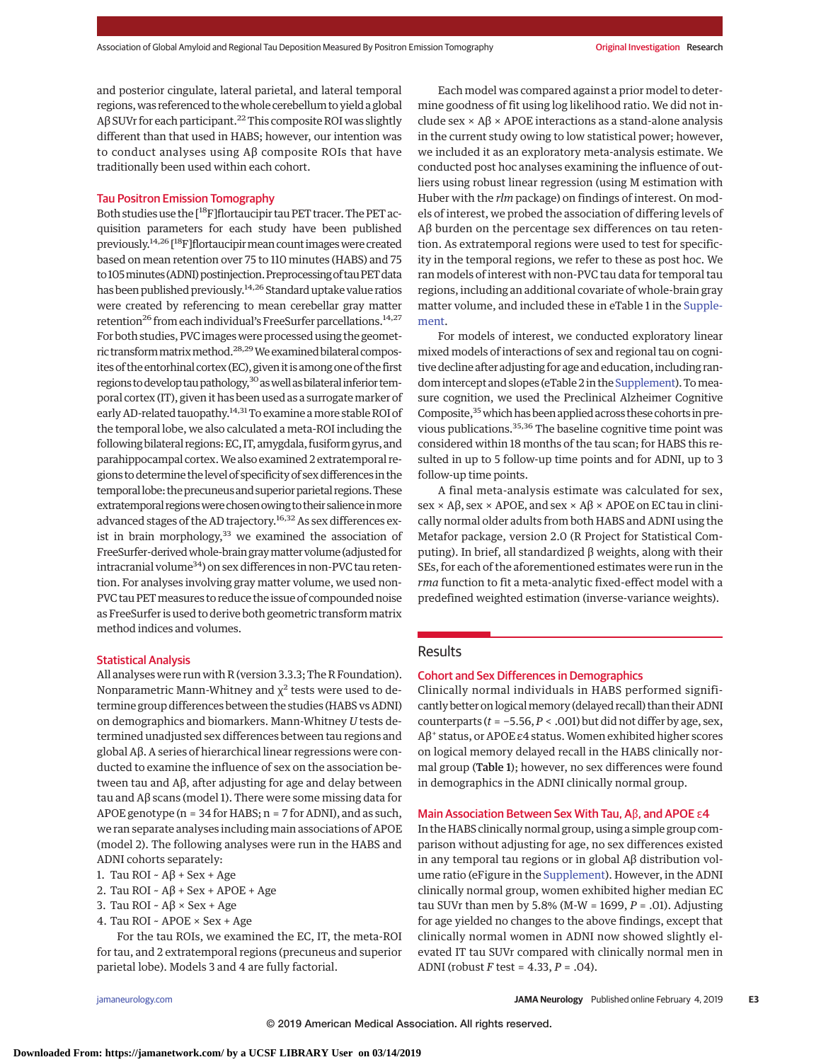and posterior cingulate, lateral parietal, and lateral temporal regions,was referenced to thewhole cerebellum to yield a global Aβ SUVr for each participant.<sup>22</sup> This composite ROI was slightly different than that used in HABS; however, our intention was to conduct analyses using Aβ composite ROIs that have traditionally been used within each cohort.

## Tau Positron Emission Tomography

Both studies use the [18F]flortaucipir tau PET tracer. The PET acquisition parameters for each study have been published previously.<sup>14,26</sup> [<sup>18</sup>F]flortaucipir mean count images were created based on mean retention over 75 to 110 minutes (HABS) and 75 to 105 minutes (ADNI) postinjection. Preprocessing of tau PET data has been published previously.14,26 Standard uptake value ratios were created by referencing to mean cerebellar gray matter retention<sup>26</sup> from each individual's FreeSurfer parcellations.<sup>14,27</sup> For both studies, PVC images were processed using the geometric transform matrix method.<sup>28,29</sup> We examined bilateral composites of the entorhinal cortex (EC), given it is among one of the first regions to develop tau pathology, <sup>30</sup> as well as bilateral inferior temporal cortex (IT), given it has been used as a surrogate marker of early AD-related tauopathy.<sup>14,31</sup> To examine a more stable ROI of the temporal lobe, we also calculated a meta-ROI including the following bilateral regions:EC, IT, amygdala, fusiform gyrus, and parahippocampal cortex.We also examined 2 extratemporal regions to determine the level of specificity of sex differences in the temporal lobe: the precuneus and superior parietal regions. These extratemporal regions were chosen owing to their salience in more advanced stages of the AD trajectory.<sup>16,32</sup> As sex differences exist in brain morphology, $33$  we examined the association of FreeSurfer-derived whole-brain gray matter volume (adjusted for intracranial volume<sup>34</sup>) on sex differences in non-PVC tau retention. For analyses involving gray matter volume, we used non-PVC tau PET measures to reduce the issue of compounded noise as FreeSurfer is used to derive both geometric transformmatrix method indices and volumes.

#### Statistical Analysis

All analyses were run with R (version 3.3.3; The R Foundation). Nonparametric Mann-Whitney and  $\chi^2$  tests were used to determine group differences between the studies (HABS vs ADNI) on demographics and biomarkers. Mann-Whitney *U* tests determined unadjusted sex differences between tau regions and global Aβ. A series of hierarchical linear regressions were conducted to examine the influence of sex on the association between tau and Aβ, after adjusting for age and delay between tau and Aβ scans (model 1). There were some missing data for APOE genotype ( $n = 34$  for HABS;  $n = 7$  for ADNI), and as such, we ran separate analyses including main associations of APOE (model 2). The following analyses were run in the HABS and ADNI cohorts separately:

- 1. Tau ROI ~  $A\beta$  + Sex + Age
- 2. Tau ROI ~  $A\beta$  + Sex + APOE + Age
- 3. Tau ROI ~ Aβ × Sex + Age
- 4. Tau ROI ~ APOE × Sex + Age

For the tau ROIs, we examined the EC, IT, the meta-ROI for tau, and 2 extratemporal regions (precuneus and superior parietal lobe). Models 3 and 4 are fully factorial.

Each model was compared against a prior model to determine goodness of fit using log likelihood ratio. We did not include sex  $\times$  A $\beta$   $\times$  APOE interactions as a stand-alone analysis in the current study owing to low statistical power; however, we included it as an exploratory meta-analysis estimate. We conducted post hoc analyses examining the influence of outliers using robust linear regression (using M estimation with Huber with the *rlm* package) on findings of interest. On models of interest, we probed the association of differing levels of Aβ burden on the percentage sex differences on tau retention. As extratemporal regions were used to test for specificity in the temporal regions, we refer to these as post hoc. We ran models of interest with non-PVC tau data for temporal tau regions, including an additional covariate of whole-brain gray matter volume, and included these in eTable 1 in the [Supple](https://jama.jamanetwork.com/article.aspx?doi=10.1001/jamaneurol.2018.4693&utm_campaign=articlePDF%26utm_medium=articlePDFlink%26utm_source=articlePDF%26utm_content=jamaneurol.2018.4693)[ment.](https://jama.jamanetwork.com/article.aspx?doi=10.1001/jamaneurol.2018.4693&utm_campaign=articlePDF%26utm_medium=articlePDFlink%26utm_source=articlePDF%26utm_content=jamaneurol.2018.4693)

For models of interest, we conducted exploratory linear mixed models of interactions of sex and regional tau on cognitive decline after adjusting for age and education, including random intercept and slopes (eTable 2 in the [Supplement\)](https://jama.jamanetwork.com/article.aspx?doi=10.1001/jamaneurol.2018.4693&utm_campaign=articlePDF%26utm_medium=articlePDFlink%26utm_source=articlePDF%26utm_content=jamaneurol.2018.4693). Tomeasure cognition, we used the Preclinical Alzheimer Cognitive Composite,<sup>35</sup> which has been applied across these cohorts in previous publications.<sup>35,36</sup> The baseline cognitive time point was considered within 18 months of the tau scan; for HABS this resulted in up to 5 follow-up time points and for ADNI, up to 3 follow-up time points.

A final meta-analysis estimate was calculated for sex, sex × Aβ, sex × APOE, and sex × Aβ × APOE on EC tau in clinically normal older adults from both HABS and ADNI using the Metafor package, version 2.0 (R Project for Statistical Computing). In brief, all standardized β weights, along with their SEs, for each of the aforementioned estimates were run in the *rma* function to fit a meta-analytic fixed-effect model with a predefined weighted estimation (inverse-variance weights).

## **Results**

#### Cohort and Sex Differences in Demographics

Clinically normal individuals in HABS performed significantly better on logical memory (delayed recall) than their ADNI counterparts (*t* = −5.56, *P* < .001) but did not differ by age, sex, Aβ+ status, or APOE ε4 status.Women exhibited higher scores on logical memory delayed recall in the HABS clinically normal group (Table 1); however, no sex differences were found in demographics in the ADNI clinically normal group.

#### Main Association Between Sex With Tau, Aβ, and APOE ε4

In the HABS clinically normal group, using a simple group comparison without adjusting for age, no sex differences existed in any temporal tau regions or in global Aβ distribution volume ratio (eFigure in the [Supplement\)](https://jama.jamanetwork.com/article.aspx?doi=10.1001/jamaneurol.2018.4693&utm_campaign=articlePDF%26utm_medium=articlePDFlink%26utm_source=articlePDF%26utm_content=jamaneurol.2018.4693). However, in the ADNI clinically normal group, women exhibited higher median EC tau SUVr than men by 5.8% (M-W = 1699, *P* = .01). Adjusting for age yielded no changes to the above findings, except that clinically normal women in ADNI now showed slightly elevated IT tau SUVr compared with clinically normal men in ADNI (robust *F* test = 4.33, *P* = .04).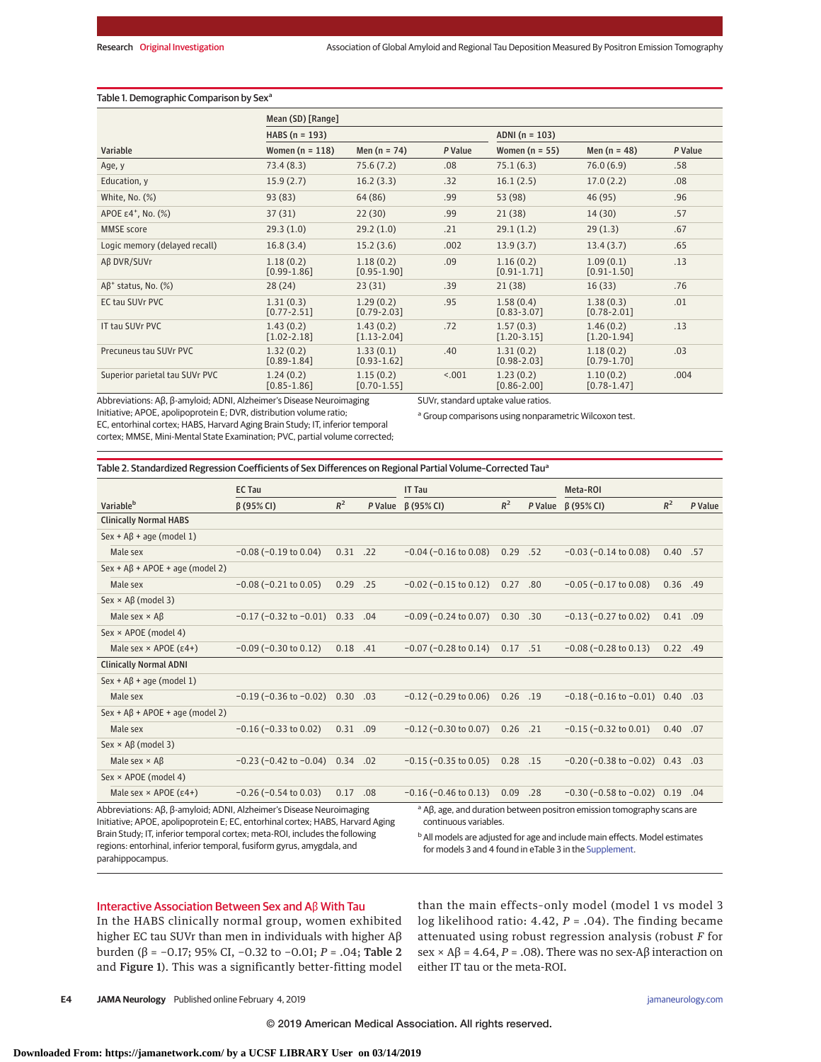# Table 1. Demographic Comparison by Sex<sup>a</sup>

|                                          | Mean (SD) [Range]            |                              |         |                              |                              |         |  |  |  |
|------------------------------------------|------------------------------|------------------------------|---------|------------------------------|------------------------------|---------|--|--|--|
|                                          | HABS $(n = 193)$             |                              |         | $ADNI(n = 103)$              |                              |         |  |  |  |
| Variable                                 | Women $(n = 118)$            | Men $(n = 74)$               | P Value | Women $(n = 55)$             | Men $(n = 48)$               | P Value |  |  |  |
| Age, y                                   | 73.4(8.3)                    | 75.6(7.2)                    | .08     | 75.1(6.3)                    | 76.0(6.9)                    | .58     |  |  |  |
| Education, y                             | 15.9(2.7)                    | 16.2(3.3)                    | .32     | 16.1(2.5)                    | 17.0(2.2)                    | .08     |  |  |  |
| White, No. (%)                           | 93(83)                       | 64 (86)                      | .99     | 53 (98)                      | 46 (95)                      | .96     |  |  |  |
| APOE $\epsilon$ 4 <sup>+</sup> , No. (%) | 37(31)                       | 22(30)                       | .99     | 21(38)                       | 14(30)                       | .57     |  |  |  |
| <b>MMSE</b> score                        | 29.3(1.0)                    | 29.2(1.0)                    | .21     | 29.1(1.2)                    | 29(1.3)                      | .67     |  |  |  |
| Logic memory (delayed recall)            | 16.8(3.4)                    | 15.2(3.6)                    | .002    | 13.9(3.7)                    | 13.4(3.7)                    | .65     |  |  |  |
| Aß DVR/SUVr                              | 1.18(0.2)<br>$[0.99 - 1.86]$ | 1.18(0.2)<br>$[0.95 - 1.90]$ | .09     | 1.16(0.2)<br>$[0.91 - 1.71]$ | 1.09(0.1)<br>$[0.91 - 1.50]$ | .13     |  |  |  |
| $AB^+$ status, No. $(\%)$                | 28(24)                       | 23(31)                       | .39     | 21(38)                       | 16(33)                       | .76     |  |  |  |
| EC tau SUVr PVC                          | 1.31(0.3)<br>$[0.77 - 2.51]$ | 1.29(0.2)<br>$[0.79 - 2.03]$ | .95     | 1.58(0.4)<br>$[0.83 - 3.07]$ | 1.38(0.3)<br>$[0.78 - 2.01]$ | .01     |  |  |  |
| IT tau SUVr PVC                          | 1.43(0.2)<br>$[1.02 - 2.18]$ | 1.43(0.2)<br>$[1.13 - 2.04]$ | .72     | 1.57(0.3)<br>$[1.20 - 3.15]$ | 1.46(0.2)<br>$[1.20 - 1.94]$ | .13     |  |  |  |
| Precuneus tau SUVr PVC                   | 1.32(0.2)<br>$[0.89 - 1.84]$ | 1.33(0.1)<br>$[0.93 - 1.62]$ | .40     | 1.31(0.2)<br>$[0.98 - 2.03]$ | 1.18(0.2)<br>$[0.79 - 1.70]$ | .03     |  |  |  |
| Superior parietal tau SUVr PVC           | 1.24(0.2)<br>$[0.85 - 1.86]$ | 1.15(0.2)<br>$[0.70 - 1.55]$ | < .001  | 1.23(0.2)<br>$[0.86 - 2.00]$ | 1.10(0.2)<br>$[0.78 - 1.47]$ | .004    |  |  |  |

Abbreviations: Aβ, β-amyloid; ADNI, Alzheimer's Disease Neuroimaging Initiative; APOE, apolipoprotein E; DVR, distribution volume ratio; EC, entorhinal cortex; HABS, Harvard Aging Brain Study; IT, inferior temporal cortex; MMSE, Mini-Mental State Examination; PVC, partial volume corrected; SUVr, standard uptake value ratios.

<sup>a</sup> Group comparisons using nonparametric Wilcoxon test.

| Variable <sup>b</sup>                      | <b>EC Tau</b>                  |            |  | IT Tau                        |            |         | Meta-ROI                                    |            |         |
|--------------------------------------------|--------------------------------|------------|--|-------------------------------|------------|---------|---------------------------------------------|------------|---------|
|                                            | $\beta$ (95% CI)               | $R^2$      |  | P Value $\beta$ (95% CI)      | $R^2$      | P Value | $\beta$ (95% CI)                            | $R^2$      | P Value |
| <b>Clinically Normal HABS</b>              |                                |            |  |                               |            |         |                                             |            |         |
| $Sex + AB + aqe$ (model 1)                 |                                |            |  |                               |            |         |                                             |            |         |
| Male sex                                   | $-0.08$ ( $-0.19$ to 0.04)     | $0.31$ .22 |  | $-0.04$ ( $-0.16$ to 0.08)    | $0.29$ .52 |         | $-0.03$ ( $-0.14$ to 0.08)                  | $0.40$ .57 |         |
| $Sex + AB + APOE + age (model 2)$          |                                |            |  |                               |            |         |                                             |            |         |
| Male sex                                   | $-0.08$ ( $-0.21$ to 0.05)     | $0.29$ .25 |  | $-0.02$ ( $-0.15$ to 0.12)    | $0.27$ .80 |         | $-0.05$ ( $-0.17$ to 0.08)                  | 0.36 .49   |         |
| $Sex \times AB$ (model 3)                  |                                |            |  |                               |            |         |                                             |            |         |
| Male sex $\times$ A $\beta$                | $-0.17$ ( $-0.32$ to $-0.01$ ) | $0.33$ .04 |  | $-0.09$ ( $-0.24$ to 0.07)    | $0.30$ .30 |         | $-0.13$ ( $-0.27$ to 0.02)                  | $0.41$ .09 |         |
| Sex × APOE (model 4)                       |                                |            |  |                               |            |         |                                             |            |         |
| Male sex $\times$ APOE ( $\varepsilon$ 4+) | $-0.09$ ( $-0.30$ to $0.12$ )  | $0.18$ .41 |  | $-0.07$ ( $-0.28$ to 0.14)    | $0.17$ .51 |         | $-0.08$ ( $-0.28$ to 0.13)                  | $0.22$ .49 |         |
| <b>Clinically Normal ADNI</b>              |                                |            |  |                               |            |         |                                             |            |         |
| $Sex + AB + aqe$ (model 1)                 |                                |            |  |                               |            |         |                                             |            |         |
| Male sex                                   | $-0.19$ ( $-0.36$ to $-0.02$ ) | $0.30$ .03 |  | $-0.12$ ( $-0.29$ to $0.06$ ) | $0.26$ .19 |         | $-0.18 (-0.16 \text{ to } -0.01) 0.40 0.03$ |            |         |
| $Sex + AB + APOE + age (model 2)$          |                                |            |  |                               |            |         |                                             |            |         |
| Male sex                                   | $-0.16$ ( $-0.33$ to 0.02)     | $0.31$ .09 |  | $-0.12$ ( $-0.30$ to 0.07)    | $0.26$ .21 |         | $-0.15$ ( $-0.32$ to $0.01$ )               | $0.40$ .07 |         |
| $Sex \times AB$ (model 3)                  |                                |            |  |                               |            |         |                                             |            |         |
| Male sex $\times$ A $\beta$                | $-0.23$ ( $-0.42$ to $-0.04$ ) | $0.34$ .02 |  | $-0.15$ ( $-0.35$ to 0.05)    | $0.28$ .15 |         | $-0.20$ ( $-0.38$ to $-0.02$ ) 0.43 .03     |            |         |
| Sex × APOE (model 4)                       |                                |            |  |                               |            |         |                                             |            |         |
| Male sex $\times$ APOE ( $\varepsilon$ 4+) | $-0.26$ ( $-0.54$ to 0.03)     | $0.17$ .08 |  | $-0.16$ ( $-0.46$ to 0.13)    | $0.09$ .28 |         | $-0.30 (-0.58 \text{ to } -0.02)$ 0.19 .04  |            |         |

Brain Study; IT, inferior temporal cortex; meta-ROI, includes the following regions: entorhinal, inferior temporal, fusiform gyrus, amygdala, and parahippocampus.

All models are adjusted for age and include main effects. Model estimates for models 3 and 4 found in eTable 3 in the [Supplement.](https://jama.jamanetwork.com/article.aspx?doi=10.1001/jamaneurol.2018.4693&utm_campaign=articlePDF%26utm_medium=articlePDFlink%26utm_source=articlePDF%26utm_content=jamaneurol.2018.4693)

# Interactive Association Between Sex and Aβ With Tau

In the HABS clinically normal group, women exhibited higher EC tau SUVr than men in individuals with higher Aβ burden (β = −0.17; 95% CI, −0.32 to −0.01; *P* = .04; Table 2 and Figure 1). This was a significantly better-fitting model than the main effects–only model (model 1 vs model 3 log likelihood ratio: 4.42, *P* = .04). The finding became attenuated using robust regression analysis (robust *F* for sex × Aβ = 4.64,  $P = .08$ ). There was no sex-Aβ interaction on either IT tau or the meta-ROI.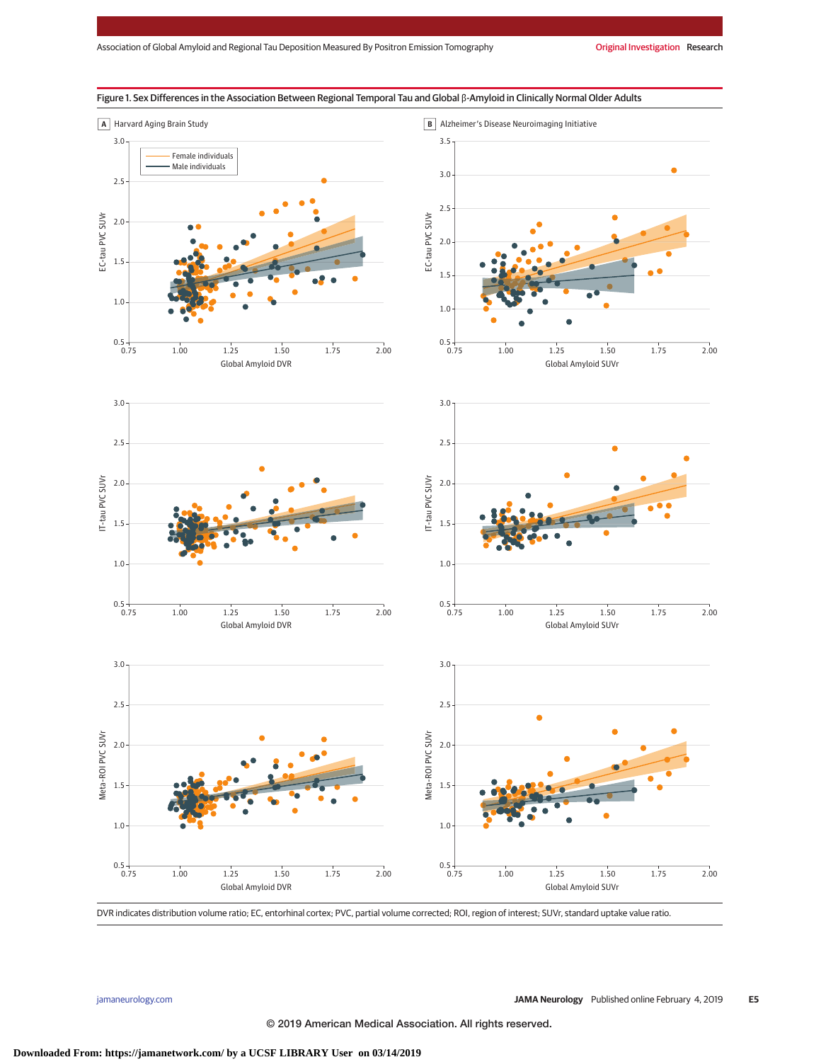

DVR indicates distribution volume ratio; EC, entorhinal cortex; PVC, partial volume corrected; ROI, region of interest; SUVr, standard uptake value ratio.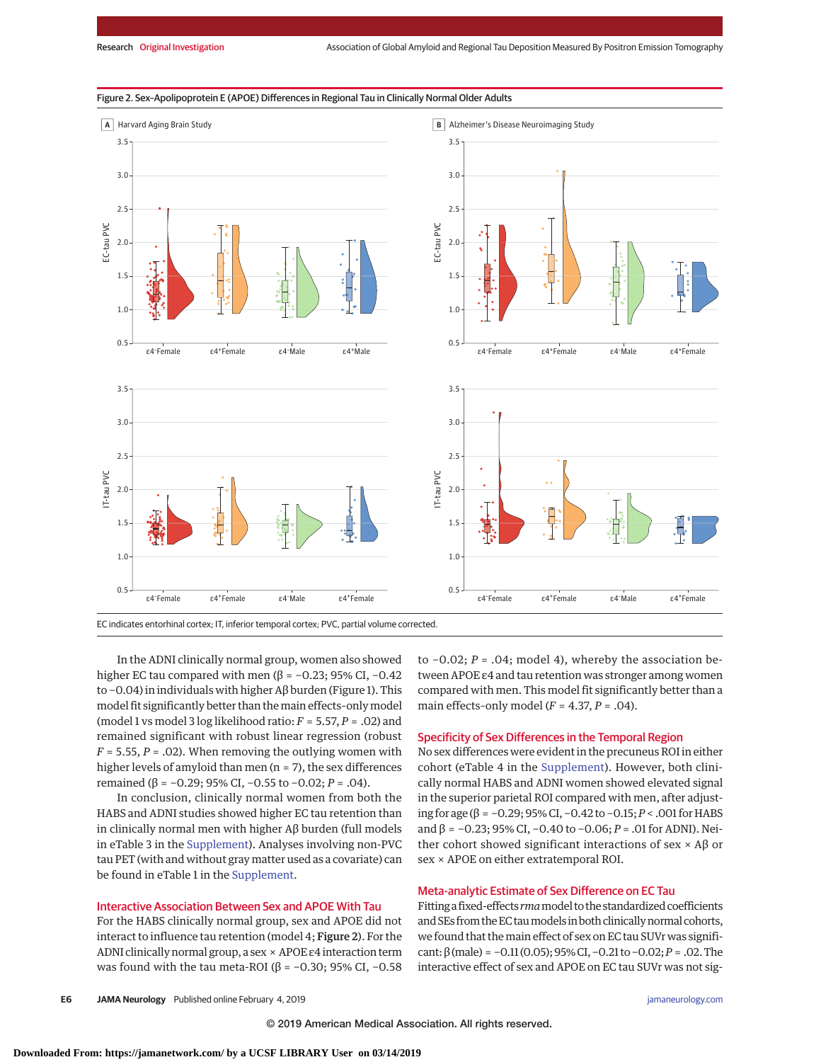

#### Figure 2. Sex–Apolipoprotein E (APOE) Differences in Regional Tau in Clinically Normal Older Adults

In the ADNI clinically normal group, women also showed higher EC tau compared with men (β =  $-0.23$ ; 95% CI,  $-0.42$ to −0.04) in individuals with higher Aβ burden (Figure 1). This model fit significantly better than themain effects–onlymodel (model 1 vs model 3 log likelihood ratio: *F* = 5.57, *P* = .02) and remained significant with robust linear regression (robust  $F = 5.55$ ,  $P = .02$ ). When removing the outlying women with higher levels of amyloid than men  $(n = 7)$ , the sex differences remained (β = −0.29; 95% CI, −0.55 to −0.02; *P* = .04).

In conclusion, clinically normal women from both the HABS and ADNI studies showed higher EC tau retention than in clinically normal men with higher Aβ burden (full models in eTable 3 in the [Supplement\)](https://jama.jamanetwork.com/article.aspx?doi=10.1001/jamaneurol.2018.4693&utm_campaign=articlePDF%26utm_medium=articlePDFlink%26utm_source=articlePDF%26utm_content=jamaneurol.2018.4693). Analyses involving non-PVC tau PET (with and without gray matter used as a covariate) can be found in eTable 1 in the [Supplement.](https://jama.jamanetwork.com/article.aspx?doi=10.1001/jamaneurol.2018.4693&utm_campaign=articlePDF%26utm_medium=articlePDFlink%26utm_source=articlePDF%26utm_content=jamaneurol.2018.4693)

## Interactive Association Between Sex and APOE With Tau

For the HABS clinically normal group, sex and APOE did not interact to influence tau retention (model 4; Figure 2). For the ADNI clinically normal group, a sex × APOE ε4 interaction term was found with the tau meta-ROI ( $\beta$  = -0.30; 95% CI, -0.58

to −0.02; *P* = .04; model 4), whereby the association between APOE ε4 and tau retention was stronger among women compared with men. This model fit significantly better than a main effects–only model (*F* = 4.37, *P* = .04).

## Specificity of Sex Differences in the Temporal Region

No sex differences were evident in the precuneus ROI in either cohort (eTable 4 in the [Supplement\)](https://jama.jamanetwork.com/article.aspx?doi=10.1001/jamaneurol.2018.4693&utm_campaign=articlePDF%26utm_medium=articlePDFlink%26utm_source=articlePDF%26utm_content=jamaneurol.2018.4693). However, both clinically normal HABS and ADNI women showed elevated signal in the superior parietal ROI compared with men, after adjusting for age (β = −0.29; 95% CI, −0.42 to −0.15;*P* < .001 for HABS and β = −0.23; 95% CI, −0.40 to −0.06; *P* = .01 for ADNI). Neither cohort showed significant interactions of sex × Aβ or sex × APOE on either extratemporal ROI.

## Meta-analytic Estimate of Sex Difference on EC Tau

Fitting a fixed-effects *rma* model to the standardized coefficients and SEs from the EC tau models in both clinically normal cohorts, we found that the main effect of sex on EC tau SUVr was significant: β (male) = −0.11 (0.05); 95%CI, −0.21 to −0.02;*P* = .02.The interactive effect of sex and APOE on EC tau SUVr was not sig-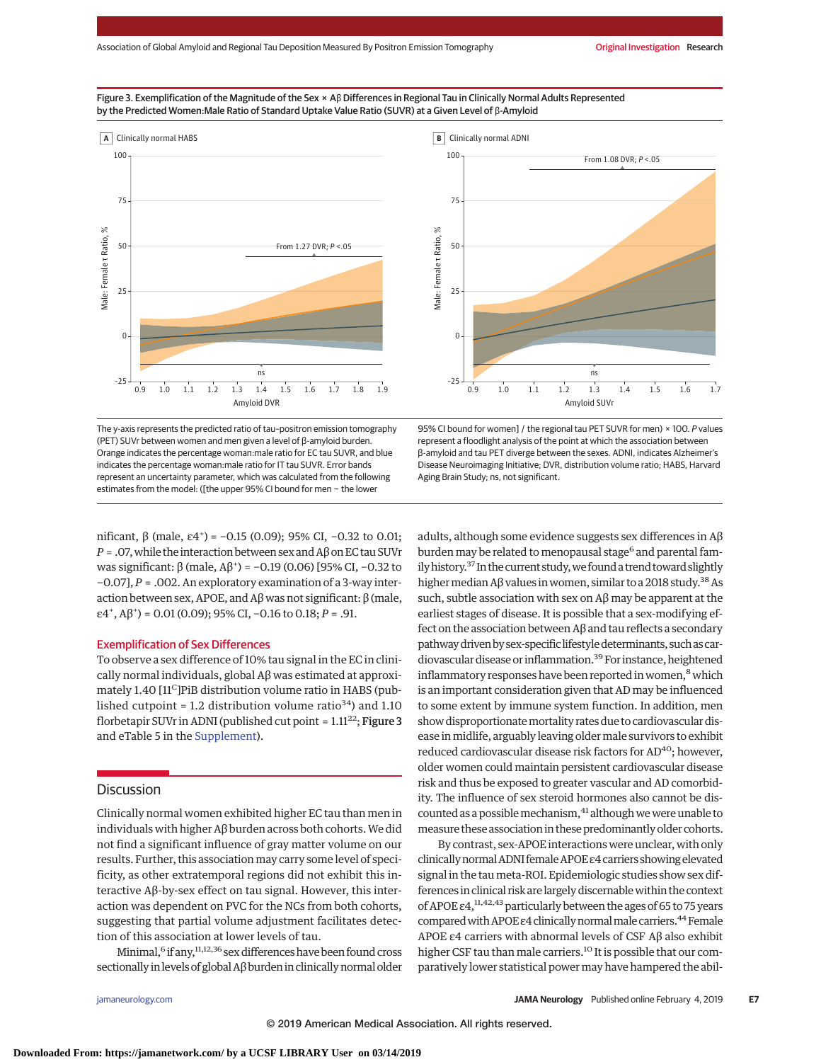



75

50

The y-axis represents the predicted ratio of tau–positron emission tomography (PET) SUVr between women and men given a level of β-amyloid burden. Orange indicates the percentage woman:male ratio for EC tau SUVR, and blue indicates the percentage woman:male ratio for IT tau SUVR. Error bands represent an uncertainty parameter, which was calculated from the following estimates from the model: ([the upper 95% CI bound for men − the lower

Male: Female r Ratio, % Male: Female τ Ratio, % 25 0 ns ns –25 0.9 1.0 1.1 1.2 1.3 1.4 1.5 1.6 1.7 Amyloid SUVr 95% CI bound for women] / the regional tau PET SUVR for men) × 100. P values

represent a floodlight analysis of the point at which the association between β-amyloid and tau PET diverge between the sexes. ADNI, indicates Alzheimer's Disease Neuroimaging Initiative; DVR, distribution volume ratio; HABS, Harvard Aging Brain Study; ns, not significant.

nificant, β (male, ε4<sup>+</sup>) = -0.15 (0.09); 95% CI, -0.32 to 0.01; *P* = .07, while the interaction between sex and Aβ on EC tau SUVr was significant: β (male, Aβ<sup>+</sup>) = -0.19 (0.06) [95% CI, -0.32 to −0.07], *P* = .002. An exploratory examination of a 3-way interaction between sex, APOE, and Aβ was not significant: β (male,  $\epsilon$ 4<sup>+</sup>, A $\beta$ <sup>+</sup>) = 0.01 (0.09); 95% CI, -0.16 to 0.18; P = .91.

#### Exemplification of Sex Differences

To observe a sex difference of 10% tau signal in the EC in clinically normal individuals, global Aβ was estimated at approximately 1.40  $[11^C]$ PiB distribution volume ratio in HABS (published cutpoint = 1.2 distribution volume ratio<sup>34</sup>) and 1.10 florbetapir SUVr in ADNI (published cut point =  $1.11^{22}$ ; Figure 3 and eTable 5 in the [Supplement\)](https://jama.jamanetwork.com/article.aspx?doi=10.1001/jamaneurol.2018.4693&utm_campaign=articlePDF%26utm_medium=articlePDFlink%26utm_source=articlePDF%26utm_content=jamaneurol.2018.4693).

### **Discussion**

Clinically normal women exhibited higher EC tau than men in individuals with higher Aβ burden across both cohorts.We did not find a significant influence of gray matter volume on our results. Further, this association may carry some level of specificity, as other extratemporal regions did not exhibit this interactive Aβ-by-sex effect on tau signal. However, this interaction was dependent on PVC for the NCs from both cohorts, suggesting that partial volume adjustment facilitates detection of this association at lower levels of tau.

Minimal,<sup>6</sup> if any,<sup>11,12,36</sup> sex differences have been found cross sectionally in levels of global Aβ burden in clinically normal older adults, although some evidence suggests sex differences in Aβ burden may be related to menopausal stage<sup>6</sup> and parental family history.<sup>37</sup> In the current study, we found a trend toward slightly higher median Aβ values in women, similar to a 2018 study.<sup>38</sup> As such, subtle association with sex on Aβ may be apparent at the earliest stages of disease. It is possible that a sex-modifying effect on the association between Aβ and tau reflects a secondary pathway driven by sex-specific lifestyle determinants, such as cardiovascular disease or inflammation.<sup>39</sup> For instance, heightened inflammatory responses have been reported in women,<sup>8</sup> which is an important consideration given that AD may be influenced to some extent by immune system function. In addition, men show disproportionate mortality rates due to cardiovascular disease in midlife, arguably leaving older male survivors to exhibit reduced cardiovascular disease risk factors for AD<sup>40</sup>; however, older women could maintain persistent cardiovascular disease risk and thus be exposed to greater vascular and AD comorbidity. The influence of sex steroid hormones also cannot be discounted as a possible mechanism,<sup>41</sup> although we were unable to measure these association in these predominantly older cohorts.

By contrast, sex-APOE interactions were unclear, with only clinicallynormalADNI femaleAPOE ε4carriersshowing elevated signal in the taumeta-ROI. Epidemiologic studies show sex differences in clinical risk are largely discernablewithin the context of APOE  $\varepsilon$ 4,<sup>11,42,43</sup> particularly between the ages of 65 to 75 years compared with APOE ε4 clinically normal male carriers.<sup>44</sup> Female APOE ε4 carriers with abnormal levels of CSF Aβ also exhibit higher CSF tau than male carriers.<sup>10</sup> It is possible that our comparatively lower statistical powermay have hampered the abil-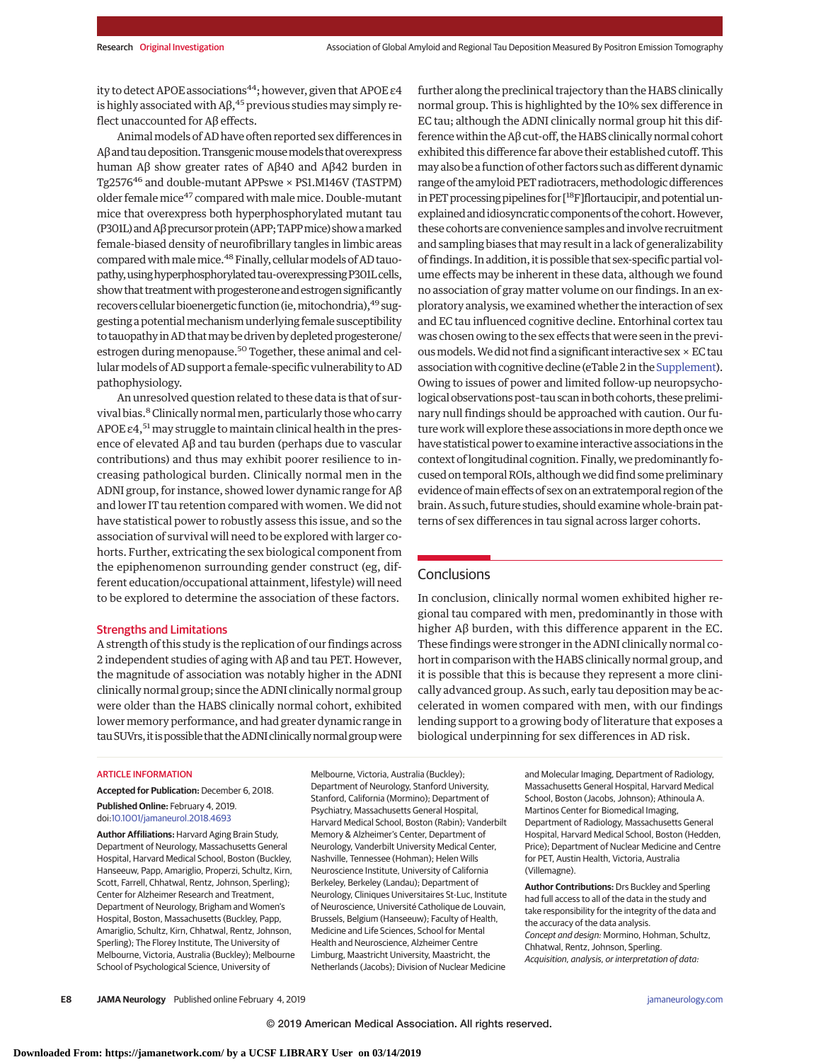ity to detect APOE associations<sup>44</sup>; however, given that APOE ε4 is highly associated with  $AB$ ,<sup>45</sup> previous studies may simply reflect unaccounted for Aβ effects.

Animal models of AD have often reported sex differences in Aβ and tau deposition. Transgenic mouse models that overexpress human Aβ show greater rates of Aβ40 and Aβ42 burden in Tg257646 and double-mutant APPswe × PS1.M146V (TASTPM) older female mice<sup>47</sup> compared with male mice. Double-mutant mice that overexpress both hyperphosphorylated mutant tau (P301L)andAβprecursorprotein (APP;TAPPmice)showamarked female-biased density of neurofibrillary tangles in limbic areas compared with male mice.<sup>48</sup> Finally, cellular models of AD tauopathy, using hyperphosphorylated tau-overexpressing P301L cells, show that treatment with progesterone and estrogen significantly recovers cellular bioenergetic function (ie, mitochondria), <sup>49</sup> suggesting a potential mechanism underlying female susceptibility to tauopathy in AD that may be driven by depleted progesterone/ estrogen during menopause.<sup>50</sup> Together, these animal and cellularmodels of AD support a female-specific vulnerability to AD pathophysiology.

An unresolved question related to these data is that of survival bias.<sup>8</sup> Clinically normal men, particularly those who carry  $APOE \epsilon 4$ , <sup>51</sup> may struggle to maintain clinical health in the presence of elevated Aβ and tau burden (perhaps due to vascular contributions) and thus may exhibit poorer resilience to increasing pathological burden. Clinically normal men in the ADNI group, for instance, showed lower dynamic range for Aβ and lower IT tau retention compared with women. We did not have statistical power to robustly assess this issue, and so the association of survival will need to be explored with larger cohorts. Further, extricating the sex biological component from the epiphenomenon surrounding gender construct (eg, different education/occupational attainment, lifestyle) will need to be explored to determine the association of these factors.

#### Strengths and Limitations

A strength of this study is the replication of our findings across 2 independent studies of aging with Aβ and tau PET. However, the magnitude of association was notably higher in the ADNI clinically normal group; since the ADNI clinically normal group were older than the HABS clinically normal cohort, exhibited lower memory performance, and had greater dynamic range in tau SUVrs, it is possible that the ADNI clinically normal group were

further along the preclinical trajectory than the HABS clinically normal group. This is highlighted by the 10% sex difference in EC tau; although the ADNI clinically normal group hit this differencewithin the Aβ cut-off, the HABS clinically normal cohort exhibited this difference far above their established cutoff. This may also be a function of other factors such as different dynamic range of the amyloid PET radiotracers, methodologic differences in PET processing pipelines for [<sup>18</sup>F]flortaucipir, and potential unexplained and idiosyncratic components of the cohort. However, these cohorts are convenience samples and involve recruitment and sampling biases that may result in a lack of generalizability of findings. In addition, it is possible that sex-specific partial volume effects may be inherent in these data, although we found no association of gray matter volume on our findings. In an exploratory analysis, we examined whether the interaction of sex and EC tau influenced cognitive decline. Entorhinal cortex tau was chosen owing to the sex effects that were seen in the previous models. We did not find a significant interactive sex  $\times$  EC tau association with cognitive decline (eTable 2 in the [Supplement\)](https://jama.jamanetwork.com/article.aspx?doi=10.1001/jamaneurol.2018.4693&utm_campaign=articlePDF%26utm_medium=articlePDFlink%26utm_source=articlePDF%26utm_content=jamaneurol.2018.4693). Owing to issues of power and limited follow-up neuropsychological observations post-tau scan in both cohorts, these preliminary null findings should be approached with caution. Our future work will explore these associations in more depth once we have statistical power to examine interactive associations in the context of longitudinal cognition. Finally, we predominantly focused on temporal ROIs, although we did find some preliminary evidence ofmain effects of sex on an extratemporal region of the brain. As such, future studies, should examinewhole-brain patterns of sex differences in tau signal across larger cohorts.

# **Conclusions**

In conclusion, clinically normal women exhibited higher regional tau compared with men, predominantly in those with higher Aβ burden, with this difference apparent in the EC. These findings were stronger in the ADNI clinically normal cohort in comparison with the HABS clinically normal group, and it is possible that this is because they represent a more clinically advanced group. As such, early tau deposition may be accelerated in women compared with men, with our findings lending support to a growing body of literature that exposes a biological underpinning for sex differences in AD risk.

#### ARTICLE INFORMATION

**Accepted for Publication:** December 6, 2018. **Published Online:** February 4, 2019. doi[:10.1001/jamaneurol.2018.4693](https://jama.jamanetwork.com/article.aspx?doi=10.1001/jamaneurol.2018.4693&utm_campaign=articlePDF%26utm_medium=articlePDFlink%26utm_source=articlePDF%26utm_content=jamaneurol.2018.4693)

**Author Affiliations:** Harvard Aging Brain Study, Department of Neurology, Massachusetts General Hospital, Harvard Medical School, Boston (Buckley, Hanseeuw, Papp, Amariglio, Properzi, Schultz, Kirn, Scott, Farrell, Chhatwal, Rentz, Johnson, Sperling); Center for Alzheimer Research and Treatment, Department of Neurology, Brigham and Women's Hospital, Boston, Massachusetts (Buckley, Papp, Amariglio, Schultz, Kirn, Chhatwal, Rentz, Johnson, Sperling); The Florey Institute, The University of Melbourne, Victoria, Australia (Buckley); Melbourne School of Psychological Science, University of

Melbourne, Victoria, Australia (Buckley); Department of Neurology, Stanford University, Stanford, California (Mormino); Department of Psychiatry, Massachusetts General Hospital, Harvard Medical School, Boston (Rabin); Vanderbilt Memory & Alzheimer's Center, Department of Neurology, Vanderbilt University Medical Center, Nashville, Tennessee (Hohman); Helen Wills Neuroscience Institute, University of California Berkeley, Berkeley (Landau); Department of Neurology, Cliniques Universitaires St-Luc, Institute of Neuroscience, Université Catholique de Louvain, Brussels, Belgium (Hanseeuw); Faculty of Health, Medicine and Life Sciences, School for Mental Health and Neuroscience, Alzheimer Centre Limburg, Maastricht University, Maastricht, the Netherlands (Jacobs); Division of Nuclear Medicine

and Molecular Imaging, Department of Radiology, Massachusetts General Hospital, Harvard Medical School, Boston (Jacobs, Johnson); Athinoula A. Martinos Center for Biomedical Imaging, Department of Radiology, Massachusetts General Hospital, Harvard Medical School, Boston (Hedden, Price); Department of Nuclear Medicine and Centre for PET, Austin Health, Victoria, Australia (Villemagne).

**Author Contributions:** Drs Buckley and Sperling had full access to all of the data in the study and take responsibility for the integrity of the data and the accuracy of the data analysis. Concept and design: Mormino, Hohman, Schultz, Chhatwal, Rentz, Johnson, Sperling. Acquisition, analysis, or interpretation of data: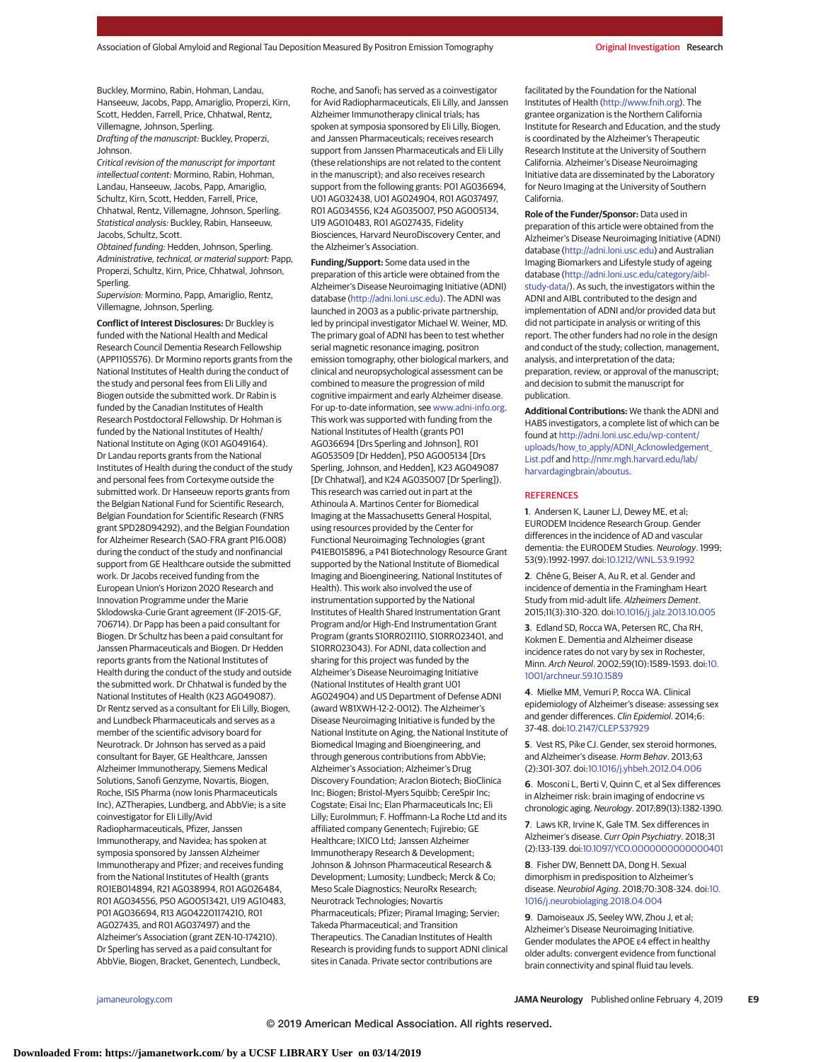Buckley, Mormino, Rabin, Hohman, Landau, Hanseeuw, Jacobs, Papp, Amariglio, Properzi, Kirn, Scott, Hedden, Farrell, Price, Chhatwal, Rentz, Villemagne, Johnson, Sperling.

Drafting of the manuscript: Buckley, Properzi, Johnson.

Critical revision of the manuscript for important intellectual content: Mormino, Rabin, Hohman, Landau, Hanseeuw, Jacobs, Papp, Amariglio, Schultz, Kirn, Scott, Hedden, Farrell, Price, Chhatwal, Rentz, Villemagne, Johnson, Sperling. Statistical analysis: Buckley, Rabin, Hanseeuw, Jacobs, Schultz, Scott.

Obtained funding: Hedden, Johnson, Sperling. Administrative, technical, or material support: Papp, Properzi, Schultz, Kirn, Price, Chhatwal, Johnson, Sperling.

Supervision: Mormino, Papp, Amariglio, Rentz, Villemagne, Johnson, Sperling.

**Conflict of Interest Disclosures:** Dr Buckley is funded with the National Health and Medical Research Council Dementia Research Fellowship (APP1105576). Dr Mormino reports grants from the National Institutes of Health during the conduct of the study and personal fees from Eli Lilly and Biogen outside the submitted work. Dr Rabin is funded by the Canadian Institutes of Health Research Postdoctoral Fellowship. Dr Hohman is funded by the National Institutes of Health/ National Institute on Aging (K01 AG049164). Dr Landau reports grants from the National Institutes of Health during the conduct of the study and personal fees from Cortexyme outside the submitted work. Dr Hanseeuw reports grants from the Belgian National Fund for Scientific Research, Belgian Foundation for Scientific Research (FNRS grant SPD28094292), and the Belgian Foundation for Alzheimer Research (SAO-FRA grant P16.008) during the conduct of the study and nonfinancial support from GE Healthcare outside the submitted work. Dr Jacobs received funding from the European Union's Horizon 2020 Research and Innovation Programme under the Marie Sklodowska-Curie Grant agreement (IF-2015-GF, 706714). Dr Papp has been a paid consultant for Biogen. Dr Schultz has been a paid consultant for Janssen Pharmaceuticals and Biogen. Dr Hedden reports grants from the National Institutes of Health during the conduct of the study and outside the submitted work. Dr Chhatwal is funded by the National Institutes of Health (K23 AG049087). Dr Rentz served as a consultant for Eli Lilly, Biogen, and Lundbeck Pharmaceuticals and serves as a member of the scientific advisory board for Neurotrack. Dr Johnson has served as a paid consultant for Bayer, GE Healthcare, Janssen Alzheimer Immunotherapy, Siemens Medical Solutions, Sanofi Genzyme, Novartis, Biogen, Roche, ISIS Pharma (now Ionis Pharmaceuticals Inc), AZTherapies, Lundberg, and AbbVie; is a site coinvestigator for Eli Lilly/Avid Radiopharmaceuticals, Pfizer, Janssen Immunotherapy, and Navidea; has spoken at symposia sponsored by Janssen Alzheimer Immunotherapy and Pfizer; and receives funding from the National Institutes of Health (grants R01EB014894, R21 AG038994, R01 AG026484, R01 AG034556, P50 AG00513421, U19 AG10483, P01 AG036694, R13 AG042201174210, R01 AG027435, and R01 AG037497) and the Alzheimer's Association (grant ZEN-10-174210). Dr Sperling has served as a paid consultant for AbbVie, Biogen, Bracket, Genentech, Lundbeck,

Roche, and Sanofi; has served as a coinvestigator for Avid Radiopharmaceuticals, Eli Lilly, and Janssen Alzheimer Immunotherapy clinical trials; has spoken at symposia sponsored by Eli Lilly, Biogen, and Janssen Pharmaceuticals; receives research support from Janssen Pharmaceuticals and Eli Lilly (these relationships are not related to the content in the manuscript); and also receives research support from the following grants: P01 AG036694, U01 AG032438, U01 AG024904, R01 AG037497, R01 AG034556, K24 AG035007, P50 AG005134, U19 AG010483, R01 AG027435, Fidelity Biosciences, Harvard NeuroDiscovery Center, and the Alzheimer's Association.

**Funding/Support:** Some data used in the preparation of this article were obtained from the Alzheimer's Disease Neuroimaging Initiative (ADNI) database [\(http://adni.loni.usc.edu\)](http://adni.loni.usc.edu). The ADNI was launched in 2003 as a public-private partnership, led by principal investigator Michael W. Weiner, MD. The primary goal of ADNI has been to test whether serial magnetic resonance imaging, positron emission tomography, other biological markers, and clinical and neuropsychological assessment can be combined to measure the progression of mild cognitive impairment and early Alzheimer disease. For up-to-date information, see [www.adni-info.org.](http://www.adni-info.org) This work was supported with funding from the National Institutes of Health (grants P01 AG036694 [Drs Sperling and Johnson], R01 AG053509 [Dr Hedden], P50 AG005134 [Drs Sperling, Johnson, and Hedden], K23 AG049087 [Dr Chhatwal], and K24 AG035007 [Dr Sperling]). This research was carried out in part at the Athinoula A. Martinos Center for Biomedical Imaging at the Massachusetts General Hospital, using resources provided by the Center for Functional Neuroimaging Technologies (grant P41EB015896, a P41 Biotechnology Resource Grant supported by the National Institute of Biomedical Imaging and Bioengineering, National Institutes of Health). This work also involved the use of instrumentation supported by the National Institutes of Health Shared Instrumentation Grant Program and/or High-End Instrumentation Grant Program (grants S10RR021110, S10RR023401, and S10RR023043). For ADNI, data collection and sharing for this project was funded by the Alzheimer's Disease Neuroimaging Initiative (National Institutes of Health grant U01 AG024904) and US Department of Defense ADNI (award W81XWH-12-2-0012). The Alzheimer's Disease Neuroimaging Initiative is funded by the National Institute on Aging, the National Institute of Biomedical Imaging and Bioengineering, and through generous contributions from AbbVie; Alzheimer's Association; Alzheimer's Drug Discovery Foundation; Araclon Biotech; BioClinica Inc; Biogen; Bristol-Myers Squibb; CereSpir Inc; Cogstate; Eisai Inc; Elan Pharmaceuticals Inc; Eli Lilly; EuroImmun; F. Hoffmann-La Roche Ltd and its affiliated company Genentech; Fujirebio; GE Healthcare; IXICO Ltd; Janssen Alzheimer Immunotherapy Research & Development; Johnson & Johnson Pharmaceutical Research & Development; Lumosity; Lundbeck; Merck & Co; Meso Scale Diagnostics; NeuroRx Research; Neurotrack Technologies; Novartis Pharmaceuticals; Pfizer; Piramal Imaging; Servier; Takeda Pharmaceutical; and Transition Therapeutics. The Canadian Institutes of Health Research is providing funds to support ADNI clinical sites in Canada. Private sector contributions are

facilitated by the Foundation for the National Institutes of Health [\(http://www.fnih.org\)](http://www.fnih.org). The

grantee organization is the Northern California Institute for Research and Education, and the study is coordinated by the Alzheimer's Therapeutic Research Institute at the University of Southern California. Alzheimer's Disease Neuroimaging Initiative data are disseminated by the Laboratory for Neuro Imaging at the University of Southern California.

**Role of the Funder/Sponsor:** Data used in preparation of this article were obtained from the Alzheimer's Disease Neuroimaging Initiative (ADNI) database [\(http://adni.loni.usc.edu\)](http://adni.loni.usc.edu) and Australian Imaging Biomarkers and Lifestyle study of ageing database [\(http://adni.loni.usc.edu/category/aibl](http://adni.loni.usc.edu/category/aibl-study-data/)[study-data/\)](http://adni.loni.usc.edu/category/aibl-study-data/). As such, the investigators within the ADNI and AIBL contributed to the design and implementation of ADNI and/or provided data but did not participate in analysis or writing of this report. The other funders had no role in the design and conduct of the study; collection, management, analysis, and interpretation of the data; preparation, review, or approval of the manuscript; and decision to submit the manuscript for publication.

**Additional Contributions:** We thank the ADNI and HABS investigators, a complete list of which can be found at [http://adni.loni.usc.edu/wp-content/](http://adni.loni.usc.edu/wp-content/uploads/how_to_apply/ADNI_Acknowledgement_List.pdf) [uploads/how\\_to\\_apply/ADNI\\_Acknowledgement\\_](http://adni.loni.usc.edu/wp-content/uploads/how_to_apply/ADNI_Acknowledgement_List.pdf) [List.pdf](http://adni.loni.usc.edu/wp-content/uploads/how_to_apply/ADNI_Acknowledgement_List.pdf) and [http://nmr.mgh.harvard.edu/lab/](http://nmr.mgh.harvard.edu/lab/harvardagingbrain/aboutus) [harvardagingbrain/aboutus.](http://nmr.mgh.harvard.edu/lab/harvardagingbrain/aboutus)

#### **REFERENCES**

**1**. Andersen K, Launer LJ, Dewey ME, et al; EURODEM Incidence Research Group. Gender differences in the incidence of AD and vascular dementia: the EURODEM Studies. Neurology. 1999; 53(9):1992-1997. doi[:10.1212/WNL.53.9.1992](https://dx.doi.org/10.1212/WNL.53.9.1992)

**2**. Chêne G, Beiser A, Au R, et al. Gender and incidence of dementia in the Framingham Heart Study from mid-adult life. Alzheimers Dement. 2015;11(3):310-320. doi[:10.1016/j.jalz.2013.10.005](https://dx.doi.org/10.1016/j.jalz.2013.10.005)

**3**. Edland SD, Rocca WA, Petersen RC, Cha RH, Kokmen E. Dementia and Alzheimer disease incidence rates do not vary by sex in Rochester, Minn. Arch Neurol. 2002;59(10):1589-1593. doi[:10.](https://jama.jamanetwork.com/article.aspx?doi=10.1001/archneur.59.10.1589&utm_campaign=articlePDF%26utm_medium=articlePDFlink%26utm_source=articlePDF%26utm_content=jamaneurol.2018.4693) [1001/archneur.59.10.1589](https://jama.jamanetwork.com/article.aspx?doi=10.1001/archneur.59.10.1589&utm_campaign=articlePDF%26utm_medium=articlePDFlink%26utm_source=articlePDF%26utm_content=jamaneurol.2018.4693)

**4**. Mielke MM, Vemuri P, Rocca WA. Clinical epidemiology of Alzheimer's disease: assessing sex and gender differences. Clin Epidemiol. 2014;6: 37-48. doi[:10.2147/CLEP.S37929](https://dx.doi.org/10.2147/CLEP.S37929)

**5**. Vest RS, Pike CJ. Gender, sex steroid hormones, and Alzheimer's disease. Horm Behav. 2013;63 (2):301-307. doi[:10.1016/j.yhbeh.2012.04.006](https://dx.doi.org/10.1016/j.yhbeh.2012.04.006)

**6**. Mosconi L, Berti V, Quinn C, et al Sex differences in Alzheimer risk: brain imaging of endocrine vs chronologic aging. Neurology. 2017;89(13):1382-1390.

**7**. Laws KR, Irvine K, Gale TM. Sex differences in Alzheimer's disease. Curr Opin Psychiatry. 2018;31 (2):133-139. doi[:10.1097/YCO.0000000000000401](https://dx.doi.org/10.1097/YCO.0000000000000401)

**8**. Fisher DW, Bennett DA, Dong H. Sexual dimorphism in predisposition to Alzheimer's disease. Neurobiol Aging. 2018;70:308-324. doi[:10.](https://dx.doi.org/10.1016/j.neurobiolaging.2018.04.004) [1016/j.neurobiolaging.2018.04.004](https://dx.doi.org/10.1016/j.neurobiolaging.2018.04.004)

**9**. Damoiseaux JS, Seeley WW, Zhou J, et al; Alzheimer's Disease Neuroimaging Initiative. Gender modulates the APOE ε4 effect in healthy older adults: convergent evidence from functional brain connectivity and spinal fluid tau levels.